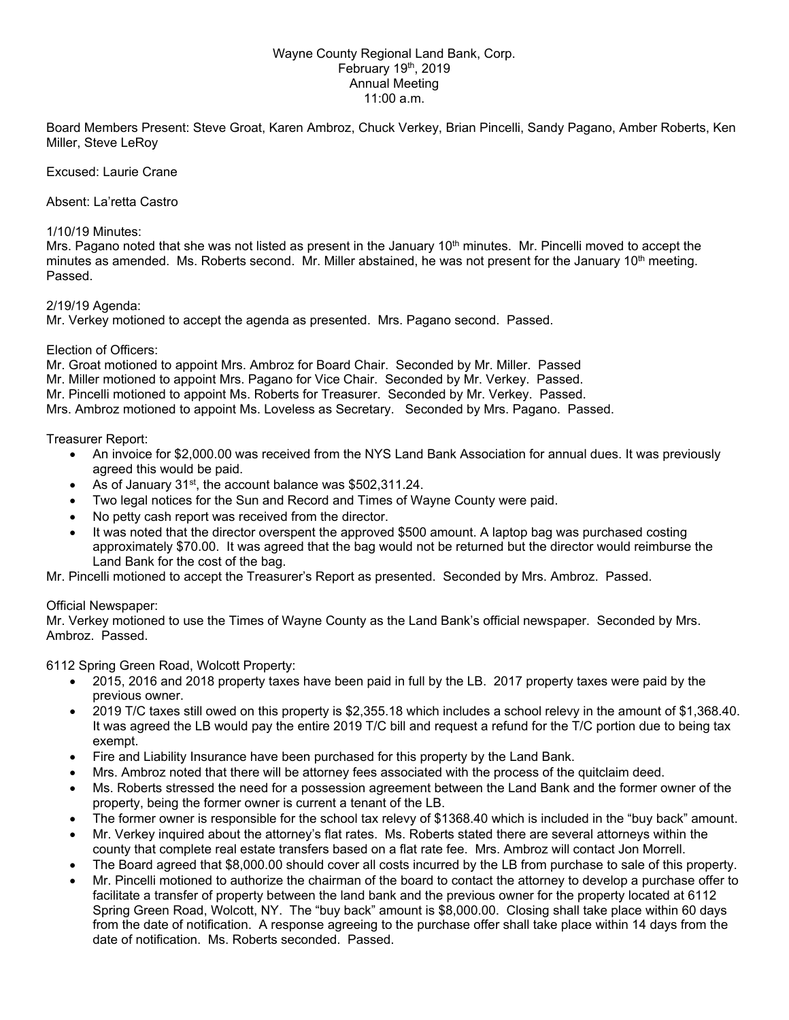## Wayne County Regional Land Bank, Corp. February  $19<sup>th</sup>$ , 2019 Annual Meeting 11:00 a.m.

Board Members Present: Steve Groat, Karen Ambroz, Chuck Verkey, Brian Pincelli, Sandy Pagano, Amber Roberts, Ken Miller, Steve LeRoy

#### Excused: Laurie Crane

Absent: La'retta Castro

#### 1/10/19 Minutes:

Mrs. Pagano noted that she was not listed as present in the January 10<sup>th</sup> minutes. Mr. Pincelli moved to accept the minutes as amended. Ms. Roberts second. Mr. Miller abstained, he was not present for the January 10<sup>th</sup> meeting. Passed.

2/19/19 Agenda:

Mr. Verkey motioned to accept the agenda as presented. Mrs. Pagano second. Passed.

## Election of Officers:

Mr. Groat motioned to appoint Mrs. Ambroz for Board Chair. Seconded by Mr. Miller. Passed

Mr. Miller motioned to appoint Mrs. Pagano for Vice Chair. Seconded by Mr. Verkey. Passed.

Mr. Pincelli motioned to appoint Ms. Roberts for Treasurer. Seconded by Mr. Verkey. Passed.

Mrs. Ambroz motioned to appoint Ms. Loveless as Secretary. Seconded by Mrs. Pagano. Passed.

# Treasurer Report:

- An invoice for \$2,000.00 was received from the NYS Land Bank Association for annual dues. It was previously agreed this would be paid.
- As of January 31<sup>st</sup>, the account balance was \$502,311.24.
- Two legal notices for the Sun and Record and Times of Wayne County were paid.
- No petty cash report was received from the director.
- It was noted that the director overspent the approved \$500 amount. A laptop bag was purchased costing approximately \$70.00. It was agreed that the bag would not be returned but the director would reimburse the Land Bank for the cost of the bag.

Mr. Pincelli motioned to accept the Treasurer's Report as presented. Seconded by Mrs. Ambroz. Passed.

## Official Newspaper:

Mr. Verkey motioned to use the Times of Wayne County as the Land Bank's official newspaper. Seconded by Mrs. Ambroz. Passed.

6112 Spring Green Road, Wolcott Property:

- 2015, 2016 and 2018 property taxes have been paid in full by the LB. 2017 property taxes were paid by the previous owner.
- 2019 T/C taxes still owed on this property is \$2,355.18 which includes a school relevy in the amount of \$1,368.40. It was agreed the LB would pay the entire 2019 T/C bill and request a refund for the T/C portion due to being tax exempt.
- Fire and Liability Insurance have been purchased for this property by the Land Bank.
- Mrs. Ambroz noted that there will be attorney fees associated with the process of the quitclaim deed.
- Ms. Roberts stressed the need for a possession agreement between the Land Bank and the former owner of the property, being the former owner is current a tenant of the LB.
- The former owner is responsible for the school tax relevy of \$1368.40 which is included in the "buy back" amount.
- Mr. Verkey inquired about the attorney's flat rates. Ms. Roberts stated there are several attorneys within the county that complete real estate transfers based on a flat rate fee. Mrs. Ambroz will contact Jon Morrell.
- The Board agreed that \$8,000.00 should cover all costs incurred by the LB from purchase to sale of this property.
- Mr. Pincelli motioned to authorize the chairman of the board to contact the attorney to develop a purchase offer to facilitate a transfer of property between the land bank and the previous owner for the property located at 6112 Spring Green Road, Wolcott, NY. The "buy back" amount is \$8,000.00. Closing shall take place within 60 days from the date of notification. A response agreeing to the purchase offer shall take place within 14 days from the date of notification. Ms. Roberts seconded. Passed.